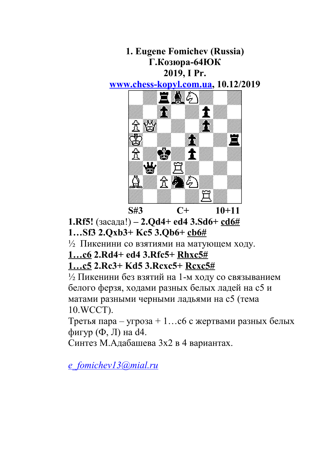**1. Eugene Fomichev (Russia) Г.Козюра-64ЮК 2019, I Pr.**

 **[www. chess - kopyl. com.ua,](http://www.chess-kopyl.com.ua/) 10.12/2019**



**1.Rf5!** (засада!) **– 2.Qd4+ ed4 3.Sd6+ cd6#**

**1…Sf3 2.Qxb3+ Kc5 3.Qb6+ cb6#**

½ Пикенини со взятиями на матующем ходу.

**1…c6 2.Rd4+ ed4 3.Rfc5+ Rhxc5#**

**1…c5 2.Rc3+ Kd5 3.Rcxc5+ Rcxc5#**

 $\frac{1}{2}$  Пикенини без взятий на 1-м ходу со связыванием белого ферзя, ходами разных белых ладей на с5 и матами разными черными ладьями на с5 (тема 10.WCCT).

Третья пара – угроза + 1…с6 с жертвами разных белых фигур  $(\Phi, \Pi)$  на d4.

Cинтез М.Адабашева 3х2 в 4 вариантах.

*[e\\_fomichev13@mial.ru](mailto:e_fomichev13@mial.ru)*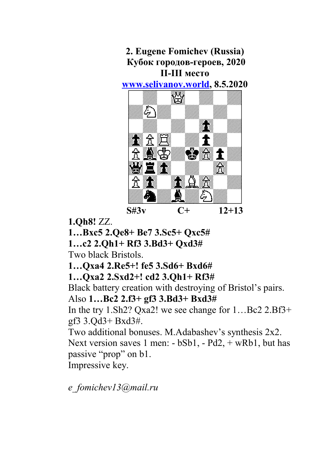

**1.Qh8!** ZZ.

**1…Bxc5 2.Qe8+ Be7 3.Sc5+ Qxc5#**

**1…c2 2.Qh1+ Rf3 3.Bd3+ Qxd3#**

Two black Bristols.

**1…Qxa4 2.Re5+! fe5 3.Sd6+ Bxd6#**

**1…Qxa2 2.Sxd2+! cd2 3.Qh1+ Rf3#**

Black battery creation with destroying of Bristol's pairs.

Also **1…Bc2 2.f3+ gf3 3.Bd3+ Bxd3#**

In the try 1.Sh2? Qxa2! we see change for 1…Bc2 2.Bf3+ gf3 3.Qd3+ Bxd3#.

Two additional bonuses. M.Adabashev's synthesis 2x2. Next version saves 1 men: - bSb1, - Pd2, + wRb1, but has passive "prop" on b1. Impressive key.

*e\_fomichev13@mail.ru*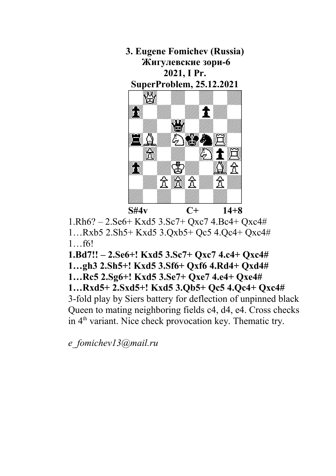

1.Rh6? – 2.Se6+ Kxd5 3.Sc7+ Qxc7 4.Bc4+ Qxc4# 1…Rxb5 2.Sh5+ Kxd5 3.Qxb5+ Qc5 4.Qc4+ Qxc4# 1…f6! **1.Bd7!! – 2.Se6+! Kxd5 3.Sc7+ Qxc7 4.c4+ Qxc4#**

**1…gh3 2.Sh5+! Kxd5 3.Sf6+ Qxf6 4.Rd4+ Qxd4#**

**1…Rс5 2.Sg6+! Kxd5 3.Se7+ Qxe7 4.e4+ Qxe4#**

**1…Rxd5+ 2.Sxd5+! Kxd5 3.Qb5+ Qc5 4.Qc4+ Qxc4#**

3-fold play by Siers battery for deflection of unpinned black Queen to mating neighboring fields c4, d4, e4. Cross checks in 4<sup>th</sup> variant. Nice check provocation key. Thematic try.

*e\_fomichev13@mail.ru*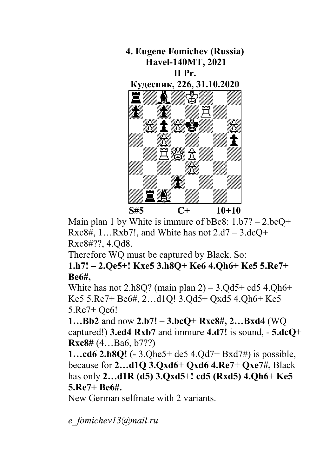

Main plan 1 by White is immure of  $b$ Bc8:  $1.b7? - 2.bcQ+$ Rxc $8\#$ , 1...Rxb7!, and White has not  $2. d7 - 3. dcQ +$ Rxc8#??, 4.Qd8.

Therefore WQ must be captured by Black. So:

**1.h7! – 2.Qe5+! Kxe5 3.h8Q+ Ke6 4.Qh6+ Ke5 5.Re7+ Be6#,**

White has not  $2.h8O$ ? (main plan  $2) - 3.0d5 + cd54.0h6 +$ Ke5 5.Re7+ Be6#, 2…d1Q! 3.Qd5+ Qxd5 4.Qh6+ Ke5 5.Re7+ Qe6!

**1…Bb2** and now **2.b7! – 3.bcQ+ Rxc8#, 2…Bxd4** (WQ captured!) **3.ed4 Rxb7** and immure **4.d7!** is sound, - **5.dcQ+ Rxc8#** (4…Ba6, b7??)

**1…cd6 2.h8Q!** (- 3.Qhe5+ de5 4.Qd7+ Bxd7#) is possible, because for **2…d1Q 3.Qxd6+ Qxd6 4.Re7+ Qxe7#,** Black has only **2…d1R (d5) 3.Qxd5+! cd5 (Rxd5) 4.Qh6+ Ke5 5.Re7+ Be6#.**

New German selfmate with 2 variants.

*e\_fomichev13@mail.ru*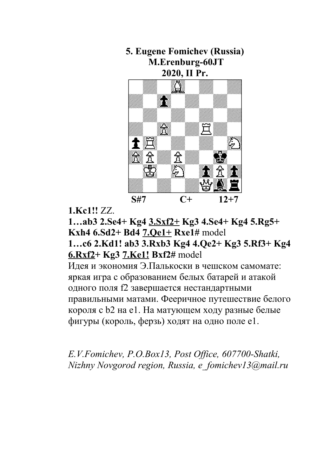## **5. Eugene Fomichev (Russia) M.Erenburg-60JT 2020, II Pr.**



## **1.Kc1!!** ZZ.

**1…ab3 2.Se4+ Kg4 3.Sxf2+ Kg3 4.Se4+ Kg4 5.Rg5+ Kxh4 6.Sd2+ Bd4 7.Qe1+ Rxe1#** model **1…c6 2.Kd1! ab3 3.Rxb3 Kg4 4.Qe2+ Kg3 5.Rf3+ Kg4 6.Rxf2+ Kg3 7.Ke1! Bxf2#** model

Идея и экономия Э.Палькоски в чешском самомате: яркая игра с образованием белых батарей и атакой одного поля f2 завершается нестандартными правильными матами. Фееричное путешествие белого короля с b2 на е1. На матующем ходу разные белые фигуры (король, ферзь) ходят на одно поле е1.

*E.V.Fomichev, P.O.Box13, Post Office, 607700-Shatki, Nizhny Novgorod region, Russia, e\_fomichev13@mail.ru*